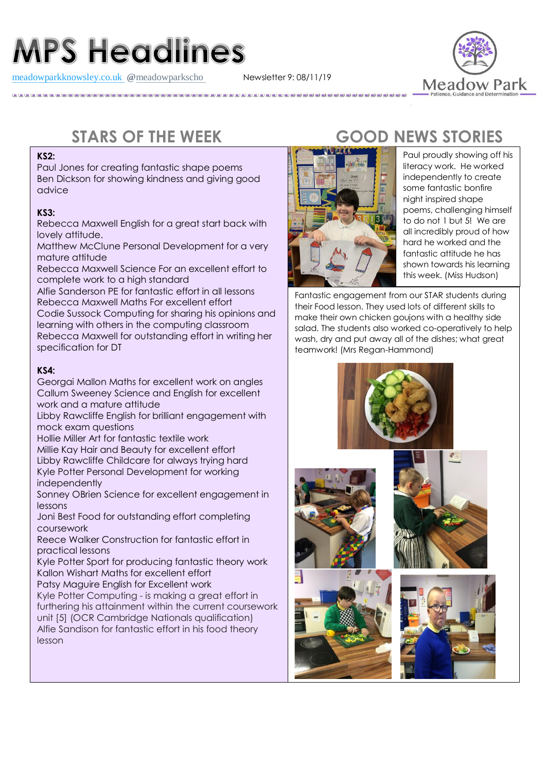# **MPS Headlines**

[meadowparkknowsley.co.uk](https://t.co/znDDto23ds) **@**[meadowparkscho](https://twitter.com/meadowparkscho) Newsletter 9: 08/11/19



## STARS OF THE WEEK **GOOD NEWS STORIES**

#### **KS2:**

Paul Jones for creating fantastic shape poems Ben Dickson for showing kindness and giving good advice

#### **KS3:**

Rebecca Maxwell English for a great start back with lovely attitude.

Matthew McClune Personal Development for a very mature attitude

Rebecca Maxwell Science For an excellent effort to complete work to a high standard

Alfie Sanderson PE for fantastic effort in all lessons Rebecca Maxwell Maths For excellent effort Codie Sussock Computing for sharing his opinions and

learning with others in the computing classroom Rebecca Maxwell for outstanding effort in writing her specification for DT

#### **KS4:**

Georgai Mallon Maths for excellent work on angles Callum Sweeney Science and English for excellent work and a mature attitude

Libby Rawcliffe English for brilliant engagement with mock exam questions

Hollie Miller Art for fantastic textile work

Millie Kay Hair and Beauty for excellent effort Libby Rawcliffe Childcare for always trying hard Kyle Potter Personal Development for working independently

Sonney OBrien Science for excellent engagement in lessons

Joni Best Food for outstanding effort completing coursework

Reece Walker Construction for fantastic effort in practical lessons

Kyle Potter Sport for producing fantastic theory work Kallon Wishart Maths for excellent effort

Patsy Maguire English for Excellent work Kyle Potter Computing - is making a great effort in

furthering his attainment within the current coursework unit [5] (OCR Cambridge Nationals qualification) Alfie Sandison for fantastic effort in his food theory lesson



Paul proudly showing off his literacy work. He worked independently to create some fantastic bonfire night inspired shape poems, challenging himself to do not 1 but 5! We are all incredibly proud of how hard he worked and the fantastic attitude he has shown towards his learning this week. (Miss Hudson)

Fantastic engagement from our STAR students during their Food lesson. They used lots of different skills to make their own chicken goujons with a healthy side salad. The students also worked co-operatively to help wash, dry and put away all of the dishes; what great teamwork! (Mrs Regan-Hammond)